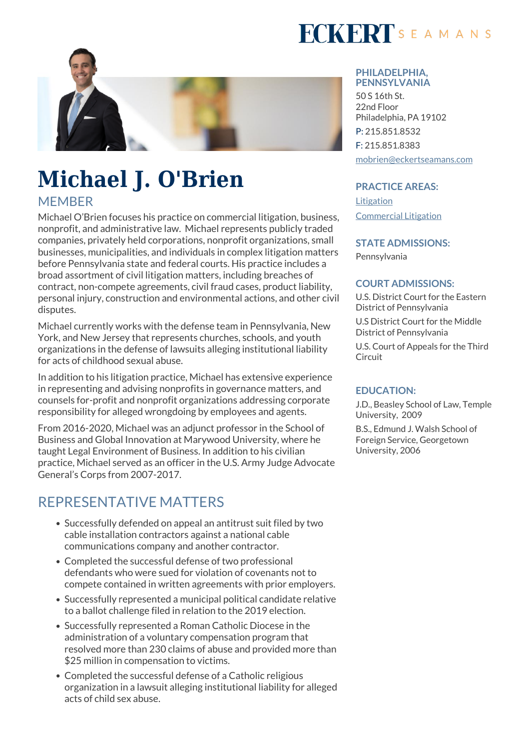

# **Michael J. O'Brien**

### **MEMBER**

Michael O'Brien focuses his practice on commercial litigation, business, nonprofit, and administrative law. Michael represents publicly traded companies, privately held corporations, nonprofit organizations, small businesses, municipalities, and individuals in complex litigation matters before Pennsylvania state and federal courts. His practice includes a broad assortment of civil litigation matters, including breaches of contract, non-compete agreements, civil fraud cases, product liability, personal injury, construction and environmental actions, and other civil disputes.

Michael currently works with the defense team in Pennsylvania, New York, and New Jersey that represents churches, schools, and youth organizations in the defense of lawsuits alleging institutional liability for acts of childhood sexual abuse.

In addition to his litigation practice, Michael has extensive experience in representing and advising nonprofits in governance matters, and counsels for-profit and nonprofit organizations addressing corporate responsibility for alleged wrongdoing by employees and agents.

From 2016-2020, Michael was an adjunct professor in the School of Business and Global Innovation at Marywood University, where he taught Legal Environment of Business. In addition to his civilian practice, Michael served as an officer in the U.S. Army Judge Advocate General's Corps from 2007-2017.

## REPRESENTATIVE MATTERS

- Successfully defended on appeal an antitrust suit filed by two cable installation contractors against a national cable communications company and another contractor.
- Completed the successful defense of two professional defendants who were sued for violation of covenants not to compete contained in written agreements with prior employers.
- Successfully represented a municipal political candidate relative to a ballot challenge filed in relation to the 2019 election.
- Successfully represented a Roman Catholic Diocese in the administration of a voluntary compensation program that resolved more than 230 claims of abuse and provided more than \$25 million in compensation to victims.
- Completed the successful defense of a Catholic religious organization in a lawsuit alleging institutional liability for alleged acts of child sex abuse.



#### **PHILADELPHIA, PENNSYLVANIA**

50 S 16th St. 22nd Floor Philadelphia, PA 19102 P: 215.851.8532 F: 215.851.8383 [mobrien@eckertseamans.com](mailto:mobrien@eckertseamans.com)

#### **PRACTICE AREAS:**

[Litigation](https://www.eckertseamans.com/our-practices/litigation) [Commercial Litigation](https://www.eckertseamans.com/our-practices/commercial-litigation)

#### **STATE ADMISSIONS:**

Pennsylvania

#### **COURT ADMISSIONS:**

U.S. District Court for the Eastern District of Pennsylvania

U.S District Court for the Middle District of Pennsylvania

U.S. Court of Appeals for the Third **Circuit** 

#### **EDUCATION:**

J.D., Beasley School of Law, Temple University, 2009

B.S., Edmund J. Walsh School of Foreign Service, Georgetown University, 2006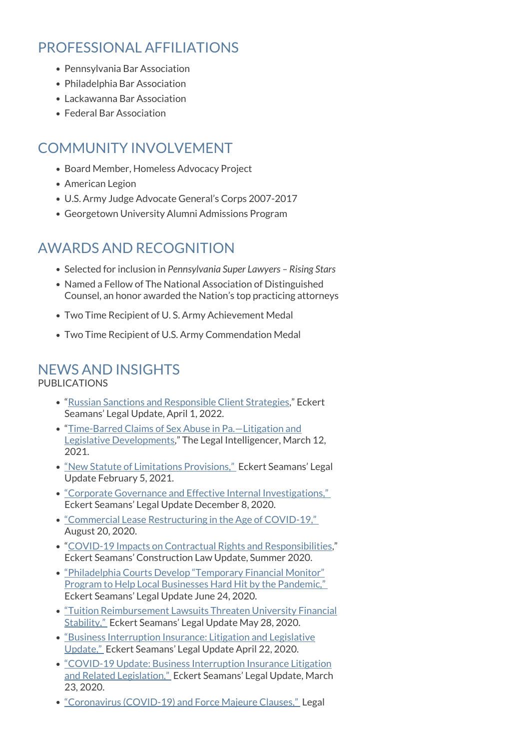## PROFESSIONAL AFFILIATIONS

- Pennsylvania Bar Association
- Philadelphia Bar Association
- Lackawanna Bar Association
- Federal Bar Association

## COMMUNITY INVOLVEMENT

- Board Member, Homeless Advocacy Project
- American Legion
- U.S. Army Judge Advocate General's Corps 2007-2017
- Georgetown University Alumni Admissions Program

## AWARDS AND RECOGNITION

- Selected for inclusion in *Pennsylvania Super Lawyers Rising Stars*
- Named a Fellow of The National Association of Distinguished Counsel, an honor awarded the Nation's top practicing attorneys
- Two Time Recipient of U. S. Army Achievement Medal
- Two Time Recipient of U.S. Army Commendation Medal

## NEWS AND INSIGHTS

#### PUBLICATIONS

- "[Russian Sanctions and Responsible Client Strategies](https://www.eckertseamans.com/legal-updates/russian-sanctions-and-responsible-client-strategies)," Eckert Seamans' Legal Update, April 1, 2022.
- "[Time-Barred Claims of Sex Abuse in Pa.—Litigation and](https://www.law.com/thelegalintelligencer/2021/03/12/time-barred-claims-of-sex-abuse-in-pa-litigation-and-legislative-developments/) [Legislative Developments](https://www.law.com/thelegalintelligencer/2021/03/12/time-barred-claims-of-sex-abuse-in-pa-litigation-and-legislative-developments/)," The Legal Intelligencer, March 12, 2021.
- ["New Statute of Limitations Provisions,"](https://www.eckertseamans.com/legal-updates/new-statute-of-limitations-provisions) Eckert Seamans' Legal Update February 5, 2021.
- ["Corporate Governance and Effective Internal Investigations,"](https://www.eckertseamans.com/legal-updates/corporate-governance-and-effective-internal-investigations)  Eckert Seamans' Legal Update December 8, 2020.
- ["Commercial Lease Restructuring in the Age of COVID-19,"](https://www.eckertseamans.com/legal-updates/commercial-lease-restructuring-in-the-age-of-covid-19)  August 20, 2020.
- "[COVID-19 Impacts on Contractual Rights and Responsibilities](https://www.eckertseamans.com/app/uploads/ConstructionSummer2020.pdf)," Eckert Seamans' Construction Law Update, Summer 2020.
- ["Philadelphia Courts Develop "Temporary Financial Monitor"](https://www.eckertseamans.com/legal-updates/philadelphia-courts-develop-temporary-financial-monitor-plan-to-help-local-businesses-hard-hit-by-the-pandemic) [Program to Help Local Businesses Hard Hit by the Pandemic,"](https://www.eckertseamans.com/legal-updates/philadelphia-courts-develop-temporary-financial-monitor-plan-to-help-local-businesses-hard-hit-by-the-pandemic)  Eckert Seamans' Legal Update June 24, 2020.
- ["Tuition Reimbursement Lawsuits Threaten University Financial](https://www.eckertseamans.com/legal-updates/tuition-reimbursement-lawsuits-threaten-university-financial-stability) [Stability,"](https://www.eckertseamans.com/legal-updates/tuition-reimbursement-lawsuits-threaten-university-financial-stability) Eckert Seamans' Legal Update May 28, 2020.
- ["Business Interruption Insurance: Litigation and Legislative](https://www.eckertseamans.com/legal-updates/business-interruption-insurance-litigation-and-legislative-update) [Update,"](https://www.eckertseamans.com/legal-updates/business-interruption-insurance-litigation-and-legislative-update) Eckert Seamans' Legal Update April 22, 2020.
- ["COVID-19 Update: Business Interruption Insurance Litigation](https://www.eckertseamans.com/legal-updates/covid-19-update-business-interruption-insurance-litigation-and-related-legislation) [and Related Legislation,"](https://www.eckertseamans.com/legal-updates/covid-19-update-business-interruption-insurance-litigation-and-related-legislation) Eckert Seamans' Legal Update, March 23, 2020.
- ["Coronavirus \(COVID-19\) and Force Majeure Clauses,"](https://www.eckertseamans.com/legal-updates/coronavirus-covid-19-and-force-majeure-clauses) Legal